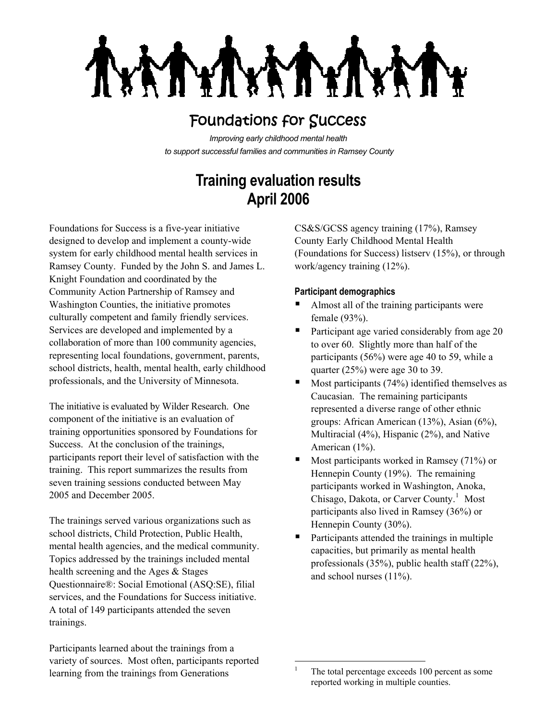**XXTY NYT** 

## Foundations for Success

*Improving early childhood mental health to support successful families and communities in Ramsey County*

# **Training evaluation results April 2006**

Foundations for Success is a five-year initiative designed to develop and implement a county-wide system for early childhood mental health services in Ramsey County. Funded by the John S. and James L. Knight Foundation and coordinated by the Community Action Partnership of Ramsey and Washington Counties, the initiative promotes culturally competent and family friendly services. Services are developed and implemented by a collaboration of more than 100 community agencies, representing local foundations, government, parents, school districts, health, mental health, early childhood professionals, and the University of Minnesota.

The initiative is evaluated by Wilder Research. One component of the initiative is an evaluation of training opportunities sponsored by Foundations for Success. At the conclusion of the trainings, participants report their level of satisfaction with the training. This report summarizes the results from seven training sessions conducted between May 2005 and December 2005.

The trainings served various organizations such as school districts, Child Protection, Public Health, mental health agencies, and the medical community. Topics addressed by the trainings included mental health screening and the Ages & Stages Questionnaire®: Social Emotional (ASQ:SE), filial services, and the Foundations for Success initiative. A total of 149 participants attended the seven trainings.

<span id="page-0-0"></span>Participants learned about the trainings from a variety of sources. Most often, participants reported learning from the trainings from Generations

CS&S/GCSS agency training (17%), Ramsey County Early Childhood Mental Health (Foundations for Success) listserv (15%), or through work/agency training (12%).

### **Participant demographics**

- Almost all of the training participants were female (93%).
- Participant age varied considerably from age 20 to over 60. Slightly more than half of the participants (56%) were age 40 to 59, while a quarter (25%) were age 30 to 39.
- Most participants (74%) identified themselves as Caucasian. The remaining participants represented a diverse range of other ethnic groups: African American (13%), Asian (6%), Multiracial (4%), Hispanic (2%), and Native American (1%).
- Most participants worked in Ramsey (71%) or Hennepin County (19%). The remaining participants worked in Washington, Anoka, Chisago, Dakota, or Carver County.<sup>[1](#page-0-0)</sup> Most participants also lived in Ramsey (36%) or Hennepin County (30%).
- Participants attended the trainings in multiple capacities, but primarily as mental health professionals (35%), public health staff (22%), and school nurses (11%).

 $\frac{1}{1}$  The total percentage exceeds 100 percent as some reported working in multiple counties.